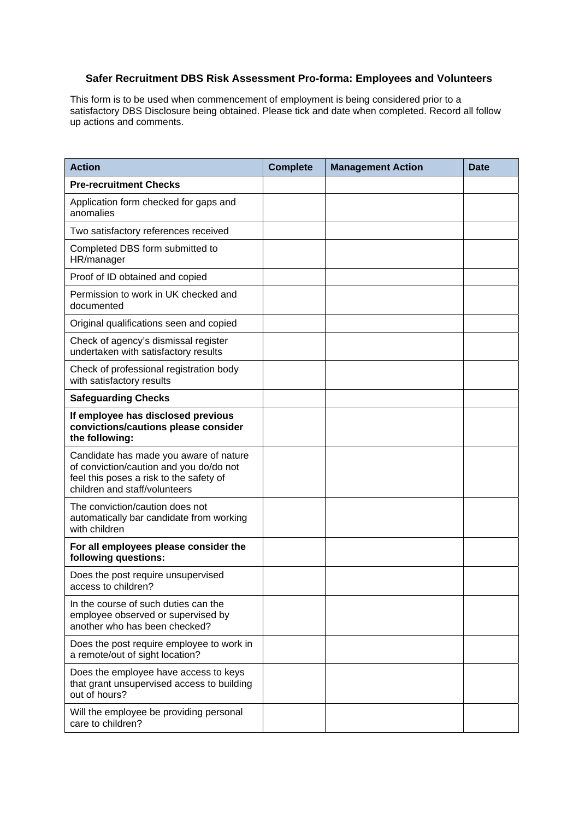## **Safer Recruitment DBS Risk Assessment Pro-forma: Employees and Volunteers**

This form is to be used when commencement of employment is being considered prior to a satisfactory DBS Disclosure being obtained. Please tick and date when completed. Record all follow up actions and comments.

| <b>Action</b>                                                                                                                                                 | <b>Complete</b> | <b>Management Action</b> | <b>Date</b> |
|---------------------------------------------------------------------------------------------------------------------------------------------------------------|-----------------|--------------------------|-------------|
| <b>Pre-recruitment Checks</b>                                                                                                                                 |                 |                          |             |
| Application form checked for gaps and<br>anomalies                                                                                                            |                 |                          |             |
| Two satisfactory references received                                                                                                                          |                 |                          |             |
| Completed DBS form submitted to<br>HR/manager                                                                                                                 |                 |                          |             |
| Proof of ID obtained and copied                                                                                                                               |                 |                          |             |
| Permission to work in UK checked and<br>documented                                                                                                            |                 |                          |             |
| Original qualifications seen and copied                                                                                                                       |                 |                          |             |
| Check of agency's dismissal register<br>undertaken with satisfactory results                                                                                  |                 |                          |             |
| Check of professional registration body<br>with satisfactory results                                                                                          |                 |                          |             |
| <b>Safeguarding Checks</b>                                                                                                                                    |                 |                          |             |
| If employee has disclosed previous<br>convictions/cautions please consider<br>the following:                                                                  |                 |                          |             |
| Candidate has made you aware of nature<br>of conviction/caution and you do/do not<br>feel this poses a risk to the safety of<br>children and staff/volunteers |                 |                          |             |
| The conviction/caution does not<br>automatically bar candidate from working<br>with children                                                                  |                 |                          |             |
| For all employees please consider the<br>following questions:                                                                                                 |                 |                          |             |
| Does the post require unsupervised<br>access to children?                                                                                                     |                 |                          |             |
| In the course of such duties can the<br>employee observed or supervised by<br>another who has been checked?                                                   |                 |                          |             |
| Does the post require employee to work in<br>a remote/out of sight location?                                                                                  |                 |                          |             |
| Does the employee have access to keys<br>that grant unsupervised access to building<br>out of hours?                                                          |                 |                          |             |
| Will the employee be providing personal<br>care to children?                                                                                                  |                 |                          |             |